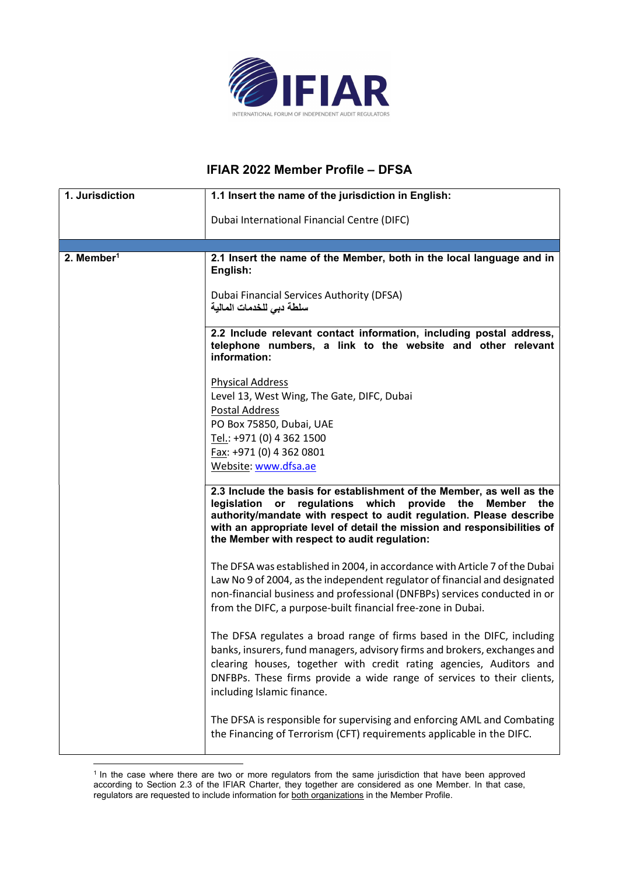

## IFIAR 2022 Member Profile – DFSA

| 1. Jurisdiction        | 1.1 Insert the name of the jurisdiction in English:                                                                                                                                                                                                                                                                                         |
|------------------------|---------------------------------------------------------------------------------------------------------------------------------------------------------------------------------------------------------------------------------------------------------------------------------------------------------------------------------------------|
|                        | Dubai International Financial Centre (DIFC)                                                                                                                                                                                                                                                                                                 |
|                        |                                                                                                                                                                                                                                                                                                                                             |
| 2. Member <sup>1</sup> | 2.1 Insert the name of the Member, both in the local language and in<br>English:                                                                                                                                                                                                                                                            |
|                        | Dubai Financial Services Authority (DFSA)<br>سلطة دبي للخدمات المالية                                                                                                                                                                                                                                                                       |
|                        | 2.2 Include relevant contact information, including postal address,<br>telephone numbers, a link to the website and other relevant<br>information:                                                                                                                                                                                          |
|                        | <b>Physical Address</b><br>Level 13, West Wing, The Gate, DIFC, Dubai                                                                                                                                                                                                                                                                       |
|                        | Postal Address<br>PO Box 75850, Dubai, UAE                                                                                                                                                                                                                                                                                                  |
|                        | Tel.: +971 (0) 4 362 1500                                                                                                                                                                                                                                                                                                                   |
|                        | Fax: +971 (0) 4 362 0801<br>Website: www.dfsa.ae                                                                                                                                                                                                                                                                                            |
|                        |                                                                                                                                                                                                                                                                                                                                             |
|                        | 2.3 Include the basis for establishment of the Member, as well as the<br>legislation or<br>regulations which<br>provide the<br>Member the<br>authority/mandate with respect to audit regulation. Please describe<br>with an appropriate level of detail the mission and responsibilities of<br>the Member with respect to audit regulation: |
|                        | The DFSA was established in 2004, in accordance with Article 7 of the Dubai<br>Law No 9 of 2004, as the independent regulator of financial and designated<br>non-financial business and professional (DNFBPs) services conducted in or<br>from the DIFC, a purpose-built financial free-zone in Dubai.                                      |
|                        | The DFSA regulates a broad range of firms based in the DIFC, including<br>banks, insurers, fund managers, advisory firms and brokers, exchanges and<br>clearing houses, together with credit rating agencies, Auditors and<br>DNFBPs. These firms provide a wide range of services to their clients,<br>including Islamic finance.          |
|                        | The DFSA is responsible for supervising and enforcing AML and Combating<br>the Financing of Terrorism (CFT) requirements applicable in the DIFC.                                                                                                                                                                                            |

<sup>&</sup>lt;sup>1</sup> In the case where there are two or more regulators from the same jurisdiction that have been approved according to Section 2.3 of the IFIAR Charter, they together are considered as one Member. In that case, regulators are requested to include information for both organizations in the Member Profile.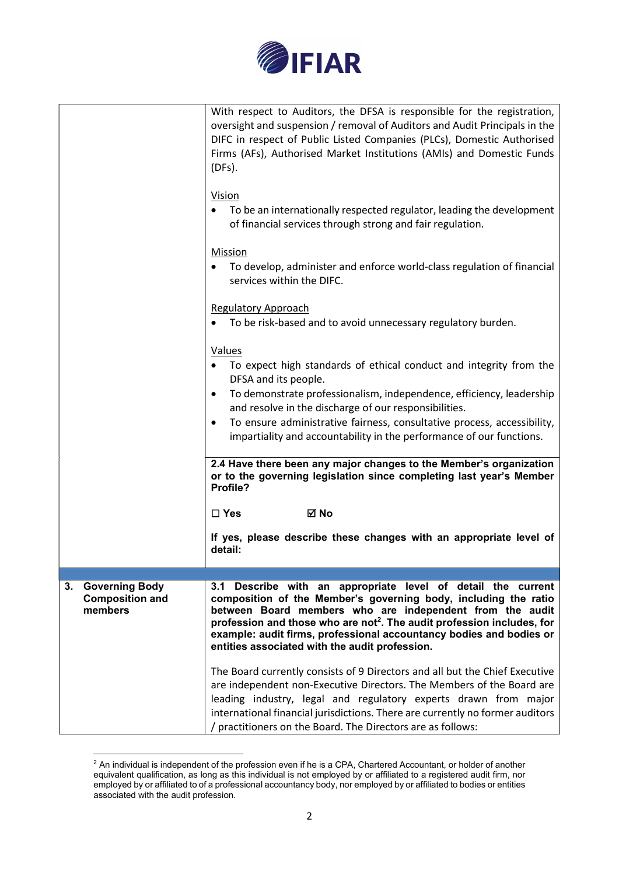

|                                                                  | With respect to Auditors, the DFSA is responsible for the registration,<br>oversight and suspension / removal of Auditors and Audit Principals in the<br>DIFC in respect of Public Listed Companies (PLCs), Domestic Authorised<br>Firms (AFs), Authorised Market Institutions (AMIs) and Domestic Funds<br>(DFs).<br>Vision<br>To be an internationally respected regulator, leading the development<br>of financial services through strong and fair regulation.<br>Mission<br>To develop, administer and enforce world-class regulation of financial<br>services within the DIFC.<br><b>Regulatory Approach</b><br>To be risk-based and to avoid unnecessary regulatory burden. |
|------------------------------------------------------------------|------------------------------------------------------------------------------------------------------------------------------------------------------------------------------------------------------------------------------------------------------------------------------------------------------------------------------------------------------------------------------------------------------------------------------------------------------------------------------------------------------------------------------------------------------------------------------------------------------------------------------------------------------------------------------------|
|                                                                  | Values<br>To expect high standards of ethical conduct and integrity from the<br>DFSA and its people.<br>To demonstrate professionalism, independence, efficiency, leadership<br>$\bullet$<br>and resolve in the discharge of our responsibilities.<br>To ensure administrative fairness, consultative process, accessibility,<br>$\bullet$<br>impartiality and accountability in the performance of our functions.                                                                                                                                                                                                                                                                 |
|                                                                  | 2.4 Have there been any major changes to the Member's organization<br>or to the governing legislation since completing last year's Member<br>Profile?                                                                                                                                                                                                                                                                                                                                                                                                                                                                                                                              |
|                                                                  | $\square$ Yes<br>⊠ No                                                                                                                                                                                                                                                                                                                                                                                                                                                                                                                                                                                                                                                              |
|                                                                  | If yes, please describe these changes with an appropriate level of<br>detail:                                                                                                                                                                                                                                                                                                                                                                                                                                                                                                                                                                                                      |
|                                                                  |                                                                                                                                                                                                                                                                                                                                                                                                                                                                                                                                                                                                                                                                                    |
| 3.<br><b>Governing Body</b><br><b>Composition and</b><br>members | 3.1 Describe with an appropriate level of detail the current<br>composition of the Member's governing body, including the ratio<br>between Board members who are independent from the audit<br>profession and those who are not <sup>2</sup> . The audit profession includes, for<br>example: audit firms, professional accountancy bodies and bodies or<br>entities associated with the audit profession.                                                                                                                                                                                                                                                                         |
|                                                                  | The Board currently consists of 9 Directors and all but the Chief Executive<br>are independent non-Executive Directors. The Members of the Board are<br>leading industry, legal and regulatory experts drawn from major<br>international financial jurisdictions. There are currently no former auditors<br>/ practitioners on the Board. The Directors are as follows:                                                                                                                                                                                                                                                                                                            |

 $^2$  An individual is independent of the profession even if he is a CPA, Chartered Accountant, or holder of another equivalent qualification, as long as this individual is not employed by or affiliated to a registered audit firm, nor employed by or affiliated to of a professional accountancy body, nor employed by or affiliated to bodies or entities associated with the audit profession.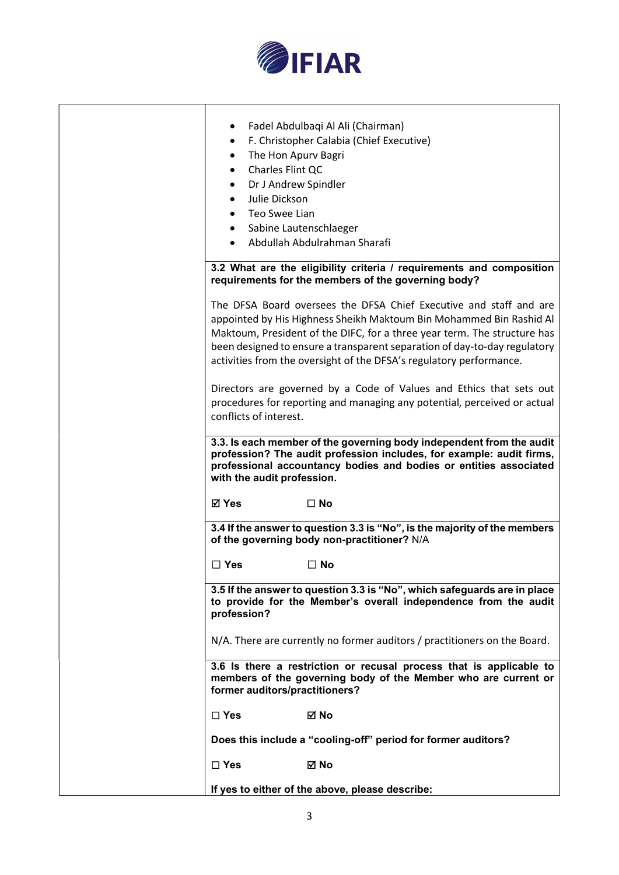

| Fadel Abdulbaqi Al Ali (Chairman)<br>$\bullet$<br>F. Christopher Calabia (Chief Executive)<br>$\bullet$<br>The Hon Apurv Bagri<br>٠<br>Charles Flint QC<br>$\bullet$<br>Dr J Andrew Spindler<br>$\bullet$<br>Julie Dickson<br>$\bullet$<br>Teo Swee Lian<br>$\bullet$<br>• Sabine Lautenschlaeger<br>Abdullah Abdulrahman Sharafi                                                                                                                |
|--------------------------------------------------------------------------------------------------------------------------------------------------------------------------------------------------------------------------------------------------------------------------------------------------------------------------------------------------------------------------------------------------------------------------------------------------|
| 3.2 What are the eligibility criteria / requirements and composition<br>requirements for the members of the governing body?                                                                                                                                                                                                                                                                                                                      |
| The DFSA Board oversees the DFSA Chief Executive and staff and are<br>appointed by His Highness Sheikh Maktoum Bin Mohammed Bin Rashid Al<br>Maktoum, President of the DIFC, for a three year term. The structure has<br>been designed to ensure a transparent separation of day-to-day regulatory<br>activities from the oversight of the DFSA's regulatory performance.<br>Directors are governed by a Code of Values and Ethics that sets out |
| procedures for reporting and managing any potential, perceived or actual<br>conflicts of interest.                                                                                                                                                                                                                                                                                                                                               |
| 3.3. Is each member of the governing body independent from the audit<br>profession? The audit profession includes, for example: audit firms,<br>professional accountancy bodies and bodies or entities associated<br>with the audit profession.                                                                                                                                                                                                  |
| <b>⊠</b> Yes<br>$\square$ No                                                                                                                                                                                                                                                                                                                                                                                                                     |
| 3.4 If the answer to question 3.3 is "No", is the majority of the members<br>of the governing body non-practitioner? N/A                                                                                                                                                                                                                                                                                                                         |
| $\Box$ Yes<br>$\Box$ No                                                                                                                                                                                                                                                                                                                                                                                                                          |
| 3.5 If the answer to question 3.3 is "No", which safeguards are in place<br>to provide for the Member's overall independence from the audit<br>profession?                                                                                                                                                                                                                                                                                       |
| N/A. There are currently no former auditors / practitioners on the Board.                                                                                                                                                                                                                                                                                                                                                                        |
| 3.6 Is there a restriction or recusal process that is applicable to<br>members of the governing body of the Member who are current or<br>former auditors/practitioners?                                                                                                                                                                                                                                                                          |
| $\Box$ Yes<br>⊠ No                                                                                                                                                                                                                                                                                                                                                                                                                               |
| Does this include a "cooling-off" period for former auditors?                                                                                                                                                                                                                                                                                                                                                                                    |
| $\square$ Yes<br>⊠ No                                                                                                                                                                                                                                                                                                                                                                                                                            |
| If yes to either of the above, please describe:                                                                                                                                                                                                                                                                                                                                                                                                  |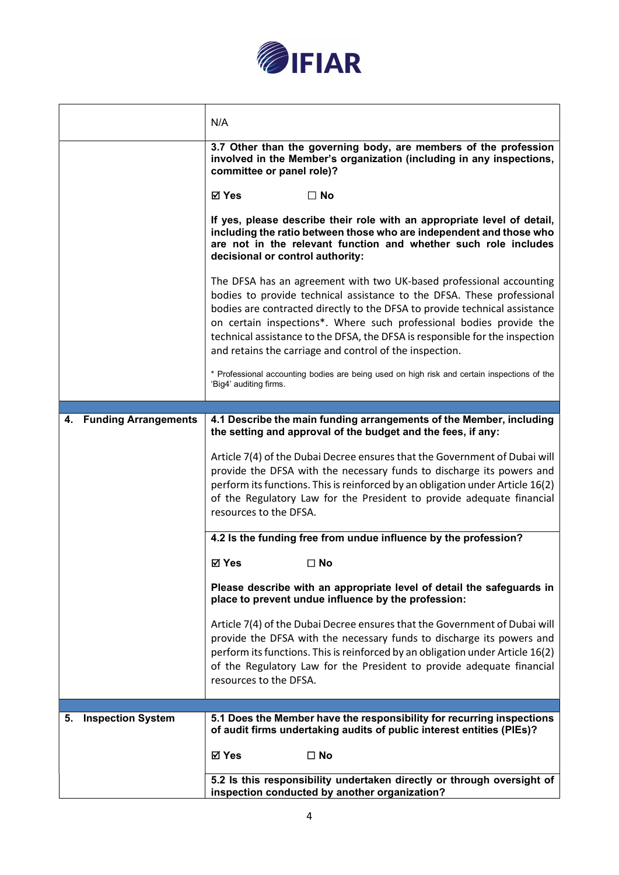

|                                | N/A                                                                                                                                                                                                                                                                                                                                                                                                                                           |  |
|--------------------------------|-----------------------------------------------------------------------------------------------------------------------------------------------------------------------------------------------------------------------------------------------------------------------------------------------------------------------------------------------------------------------------------------------------------------------------------------------|--|
|                                | 3.7 Other than the governing body, are members of the profession<br>involved in the Member's organization (including in any inspections,<br>committee or panel role)?                                                                                                                                                                                                                                                                         |  |
|                                | ⊠ Yes<br>$\Box$ No                                                                                                                                                                                                                                                                                                                                                                                                                            |  |
|                                | If yes, please describe their role with an appropriate level of detail,<br>including the ratio between those who are independent and those who<br>are not in the relevant function and whether such role includes<br>decisional or control authority:                                                                                                                                                                                         |  |
|                                | The DFSA has an agreement with two UK-based professional accounting<br>bodies to provide technical assistance to the DFSA. These professional<br>bodies are contracted directly to the DFSA to provide technical assistance<br>on certain inspections*. Where such professional bodies provide the<br>technical assistance to the DFSA, the DFSA is responsible for the inspection<br>and retains the carriage and control of the inspection. |  |
|                                | * Professional accounting bodies are being used on high risk and certain inspections of the<br>'Big4' auditing firms.                                                                                                                                                                                                                                                                                                                         |  |
|                                |                                                                                                                                                                                                                                                                                                                                                                                                                                               |  |
| 4. Funding Arrangements        | 4.1 Describe the main funding arrangements of the Member, including<br>the setting and approval of the budget and the fees, if any:                                                                                                                                                                                                                                                                                                           |  |
|                                | Article 7(4) of the Dubai Decree ensures that the Government of Dubai will<br>provide the DFSA with the necessary funds to discharge its powers and<br>perform its functions. This is reinforced by an obligation under Article 16(2)<br>of the Regulatory Law for the President to provide adequate financial<br>resources to the DFSA.                                                                                                      |  |
|                                | 4.2 Is the funding free from undue influence by the profession?                                                                                                                                                                                                                                                                                                                                                                               |  |
|                                | ⊠ Yes<br>$\square$ No                                                                                                                                                                                                                                                                                                                                                                                                                         |  |
|                                | Please describe with an appropriate level of detail the safeguards in<br>place to prevent undue influence by the profession:                                                                                                                                                                                                                                                                                                                  |  |
|                                | Article 7(4) of the Dubai Decree ensures that the Government of Dubai will<br>provide the DFSA with the necessary funds to discharge its powers and<br>perform its functions. This is reinforced by an obligation under Article 16(2)<br>of the Regulatory Law for the President to provide adequate financial<br>resources to the DFSA.                                                                                                      |  |
|                                |                                                                                                                                                                                                                                                                                                                                                                                                                                               |  |
| <b>Inspection System</b><br>5. | 5.1 Does the Member have the responsibility for recurring inspections<br>of audit firms undertaking audits of public interest entities (PIEs)?                                                                                                                                                                                                                                                                                                |  |
|                                | <b>⊠</b> Yes<br>$\Box$ No                                                                                                                                                                                                                                                                                                                                                                                                                     |  |
|                                | 5.2 Is this responsibility undertaken directly or through oversight of<br>inspection conducted by another organization?                                                                                                                                                                                                                                                                                                                       |  |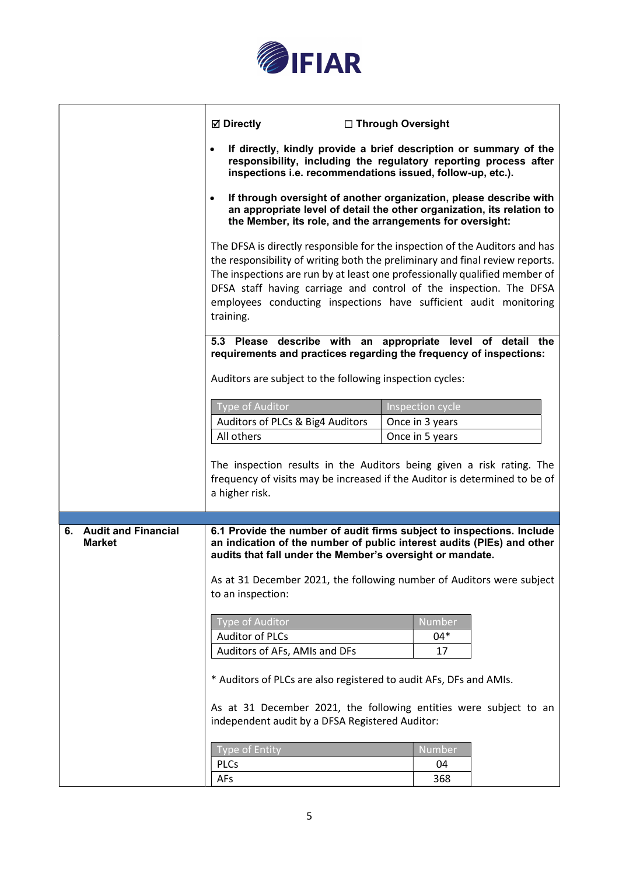

|                                         | <b>⊠</b> Directly<br>inspections i.e. recommendations issued, follow-up, etc.).                                                                                                                                                                                                                                                                                                                   | □ Through Oversight<br>If directly, kindly provide a brief description or summary of the<br>responsibility, including the regulatory reporting process after                                                             |
|-----------------------------------------|---------------------------------------------------------------------------------------------------------------------------------------------------------------------------------------------------------------------------------------------------------------------------------------------------------------------------------------------------------------------------------------------------|--------------------------------------------------------------------------------------------------------------------------------------------------------------------------------------------------------------------------|
|                                         | If through oversight of another organization, please describe with<br>an appropriate level of detail the other organization, its relation to<br>the Member, its role, and the arrangements for oversight:                                                                                                                                                                                         |                                                                                                                                                                                                                          |
|                                         | The DFSA is directly responsible for the inspection of the Auditors and has<br>the responsibility of writing both the preliminary and final review reports.<br>The inspections are run by at least one professionally qualified member of<br>DFSA staff having carriage and control of the inspection. The DFSA<br>employees conducting inspections have sufficient audit monitoring<br>training. |                                                                                                                                                                                                                          |
|                                         | 5.3 Please describe with an appropriate level of detail the<br>requirements and practices regarding the frequency of inspections:                                                                                                                                                                                                                                                                 |                                                                                                                                                                                                                          |
|                                         | Auditors are subject to the following inspection cycles:                                                                                                                                                                                                                                                                                                                                          |                                                                                                                                                                                                                          |
|                                         | Type of Auditor                                                                                                                                                                                                                                                                                                                                                                                   | Inspection cycle                                                                                                                                                                                                         |
|                                         | Auditors of PLCs & Big4 Auditors                                                                                                                                                                                                                                                                                                                                                                  | Once in 3 years                                                                                                                                                                                                          |
|                                         | All others                                                                                                                                                                                                                                                                                                                                                                                        | Once in 5 years                                                                                                                                                                                                          |
|                                         | a higher risk.                                                                                                                                                                                                                                                                                                                                                                                    | The inspection results in the Auditors being given a risk rating. The<br>frequency of visits may be increased if the Auditor is determined to be of                                                                      |
|                                         |                                                                                                                                                                                                                                                                                                                                                                                                   |                                                                                                                                                                                                                          |
| 6. Audit and Financial<br><b>Market</b> | audits that fall under the Member's oversight or mandate.<br>to an inspection:                                                                                                                                                                                                                                                                                                                    | 6.1 Provide the number of audit firms subject to inspections. Include<br>an indication of the number of public interest audits (PIEs) and other<br>As at 31 December 2021, the following number of Auditors were subject |
|                                         | <b>Type of Auditor</b>                                                                                                                                                                                                                                                                                                                                                                            | Number                                                                                                                                                                                                                   |
|                                         | <b>Auditor of PLCs</b>                                                                                                                                                                                                                                                                                                                                                                            | 04*                                                                                                                                                                                                                      |
|                                         | Auditors of AFs, AMIs and DFs                                                                                                                                                                                                                                                                                                                                                                     | 17                                                                                                                                                                                                                       |
|                                         | * Auditors of PLCs are also registered to audit AFs, DFs and AMIs.                                                                                                                                                                                                                                                                                                                                |                                                                                                                                                                                                                          |
|                                         | As at 31 December 2021, the following entities were subject to an<br>independent audit by a DFSA Registered Auditor:                                                                                                                                                                                                                                                                              |                                                                                                                                                                                                                          |
|                                         | <b>Type of Entity</b>                                                                                                                                                                                                                                                                                                                                                                             | Number                                                                                                                                                                                                                   |
|                                         | <b>PLCs</b>                                                                                                                                                                                                                                                                                                                                                                                       | 04                                                                                                                                                                                                                       |
|                                         | AFs                                                                                                                                                                                                                                                                                                                                                                                               | 368                                                                                                                                                                                                                      |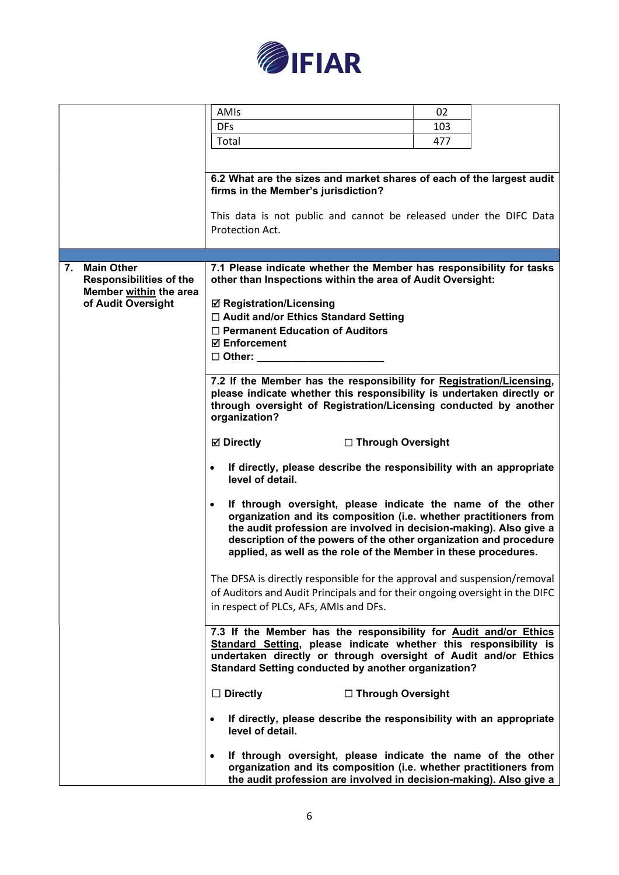

|                                | AMIs                                                                                                                                      | 02  |  |
|--------------------------------|-------------------------------------------------------------------------------------------------------------------------------------------|-----|--|
|                                | <b>DFs</b>                                                                                                                                | 103 |  |
|                                |                                                                                                                                           |     |  |
|                                | Total                                                                                                                                     | 477 |  |
|                                |                                                                                                                                           |     |  |
|                                | 6.2 What are the sizes and market shares of each of the largest audit                                                                     |     |  |
|                                | firms in the Member's jurisdiction?                                                                                                       |     |  |
|                                |                                                                                                                                           |     |  |
|                                | This data is not public and cannot be released under the DIFC Data                                                                        |     |  |
|                                | Protection Act.                                                                                                                           |     |  |
|                                |                                                                                                                                           |     |  |
|                                |                                                                                                                                           |     |  |
| <b>Main Other</b><br>7.        | 7.1 Please indicate whether the Member has responsibility for tasks                                                                       |     |  |
| <b>Responsibilities of the</b> | other than Inspections within the area of Audit Oversight:                                                                                |     |  |
| Member within the area         |                                                                                                                                           |     |  |
| of Audit Oversight             | <b>☑ Registration/Licensing</b>                                                                                                           |     |  |
|                                | □ Audit and/or Ethics Standard Setting                                                                                                    |     |  |
|                                | $\Box$ Permanent Education of Auditors                                                                                                    |     |  |
|                                | <b>☑ Enforcement</b>                                                                                                                      |     |  |
|                                | $\square$ Other:                                                                                                                          |     |  |
|                                |                                                                                                                                           |     |  |
|                                | 7.2 If the Member has the responsibility for Registration/Licensing,                                                                      |     |  |
|                                | please indicate whether this responsibility is undertaken directly or<br>through oversight of Registration/Licensing conducted by another |     |  |
|                                | organization?                                                                                                                             |     |  |
|                                |                                                                                                                                           |     |  |
|                                | <b>Ø</b> Directly<br>□ Through Oversight                                                                                                  |     |  |
|                                |                                                                                                                                           |     |  |
|                                | If directly, please describe the responsibility with an appropriate<br>$\bullet$                                                          |     |  |
|                                | level of detail.                                                                                                                          |     |  |
|                                |                                                                                                                                           |     |  |
|                                | If through oversight, please indicate the name of the other<br>$\bullet$                                                                  |     |  |
|                                | organization and its composition (i.e. whether practitioners from                                                                         |     |  |
|                                | the audit profession are involved in decision-making). Also give a                                                                        |     |  |
|                                | description of the powers of the other organization and procedure                                                                         |     |  |
|                                | applied, as well as the role of the Member in these procedures.                                                                           |     |  |
|                                |                                                                                                                                           |     |  |
|                                | The DFSA is directly responsible for the approval and suspension/removal                                                                  |     |  |
|                                | of Auditors and Audit Principals and for their ongoing oversight in the DIFC                                                              |     |  |
|                                | in respect of PLCs, AFs, AMIs and DFs.                                                                                                    |     |  |
|                                |                                                                                                                                           |     |  |
|                                | 7.3 If the Member has the responsibility for Audit and/or Ethics                                                                          |     |  |
|                                | Standard Setting, please indicate whether this responsibility is                                                                          |     |  |
|                                | undertaken directly or through oversight of Audit and/or Ethics<br><b>Standard Setting conducted by another organization?</b>             |     |  |
|                                |                                                                                                                                           |     |  |
|                                | $\Box$ Directly<br>□ Through Oversight                                                                                                    |     |  |
|                                |                                                                                                                                           |     |  |
|                                | If directly, please describe the responsibility with an appropriate                                                                       |     |  |
|                                | level of detail.                                                                                                                          |     |  |
|                                |                                                                                                                                           |     |  |
|                                | If through oversight, please indicate the name of the other                                                                               |     |  |
|                                | organization and its composition (i.e. whether practitioners from                                                                         |     |  |
|                                | the audit profession are involved in decision-making). Also give a                                                                        |     |  |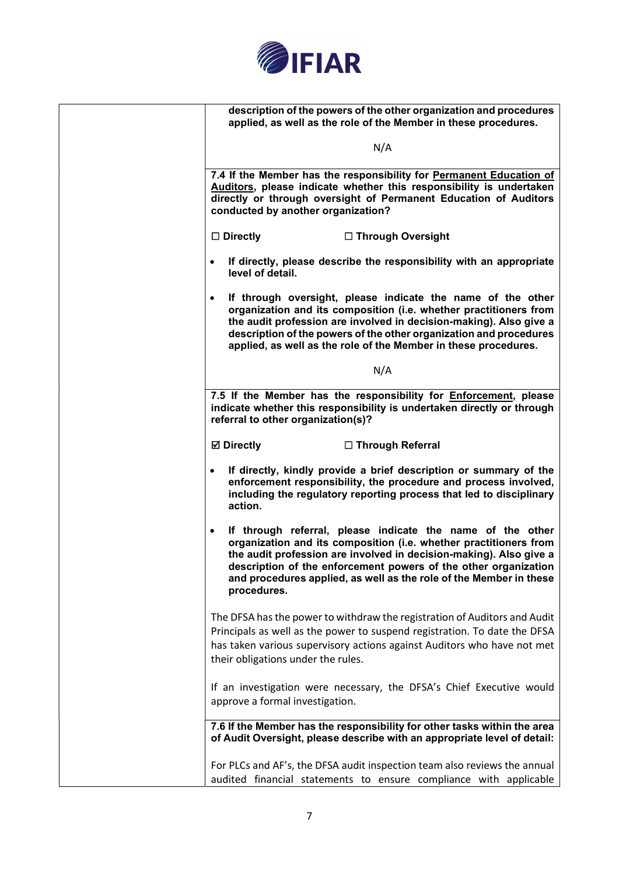

| description of the powers of the other organization and procedures<br>applied, as well as the role of the Member in these procedures.                                                                                                                                                                                                                                      |
|----------------------------------------------------------------------------------------------------------------------------------------------------------------------------------------------------------------------------------------------------------------------------------------------------------------------------------------------------------------------------|
| N/A                                                                                                                                                                                                                                                                                                                                                                        |
| 7.4 If the Member has the responsibility for Permanent Education of<br>Auditors, please indicate whether this responsibility is undertaken<br>directly or through oversight of Permanent Education of Auditors<br>conducted by another organization?                                                                                                                       |
| $\square$ Directly<br>□ Through Oversight                                                                                                                                                                                                                                                                                                                                  |
| If directly, please describe the responsibility with an appropriate<br>$\bullet$<br>level of detail.                                                                                                                                                                                                                                                                       |
| If through oversight, please indicate the name of the other<br>$\bullet$<br>organization and its composition (i.e. whether practitioners from<br>the audit profession are involved in decision-making). Also give a<br>description of the powers of the other organization and procedures<br>applied, as well as the role of the Member in these procedures.               |
| N/A                                                                                                                                                                                                                                                                                                                                                                        |
| 7.5 If the Member has the responsibility for Enforcement, please<br>indicate whether this responsibility is undertaken directly or through<br>referral to other organization(s)?                                                                                                                                                                                           |
| <b>⊠</b> Directly<br>□ Through Referral                                                                                                                                                                                                                                                                                                                                    |
| If directly, kindly provide a brief description or summary of the<br>$\bullet$<br>enforcement responsibility, the procedure and process involved,<br>including the regulatory reporting process that led to disciplinary<br>action.                                                                                                                                        |
| If through referral, please indicate the name of the other<br>$\bullet$<br>organization and its composition (i.e. whether practitioners from<br>the audit profession are involved in decision-making). Also give a<br>description of the enforcement powers of the other organization<br>and procedures applied, as well as the role of the Member in these<br>procedures. |
| The DFSA has the power to withdraw the registration of Auditors and Audit<br>Principals as well as the power to suspend registration. To date the DFSA<br>has taken various supervisory actions against Auditors who have not met<br>their obligations under the rules.                                                                                                    |
| If an investigation were necessary, the DFSA's Chief Executive would<br>approve a formal investigation.                                                                                                                                                                                                                                                                    |
| 7.6 If the Member has the responsibility for other tasks within the area<br>of Audit Oversight, please describe with an appropriate level of detail:                                                                                                                                                                                                                       |
| For PLCs and AF's, the DFSA audit inspection team also reviews the annual<br>audited financial statements to ensure compliance with applicable                                                                                                                                                                                                                             |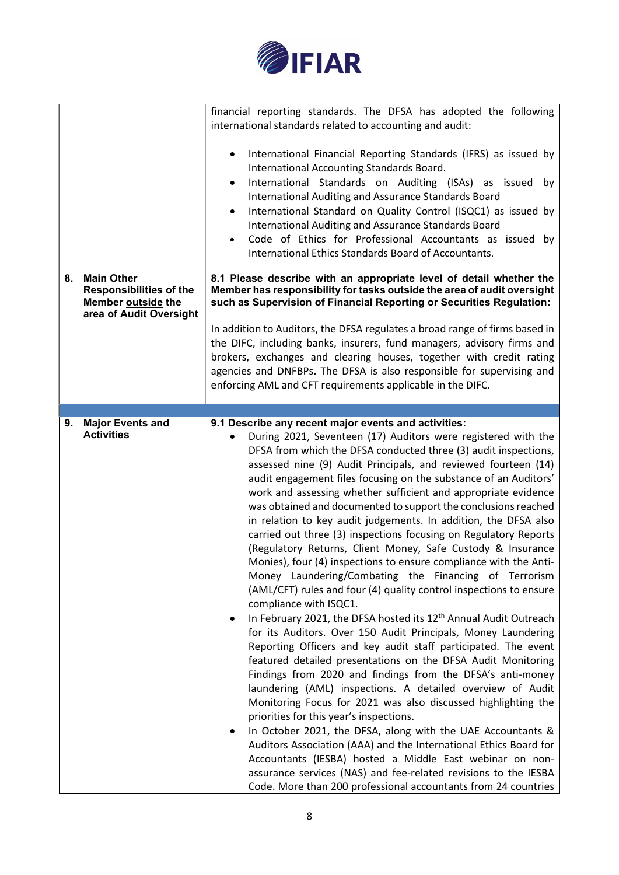

| 8. | <b>Main Other</b><br><b>Responsibilities of the</b><br>Member outside the | financial reporting standards. The DFSA has adopted the following<br>international standards related to accounting and audit:<br>International Financial Reporting Standards (IFRS) as issued by<br>International Accounting Standards Board.<br>International Standards on Auditing (ISAs) as issued by<br>$\bullet$<br>International Auditing and Assurance Standards Board<br>International Standard on Quality Control (ISQC1) as issued by<br>$\bullet$<br>International Auditing and Assurance Standards Board<br>Code of Ethics for Professional Accountants as issued by<br>International Ethics Standards Board of Accountants.<br>8.1 Please describe with an appropriate level of detail whether the<br>Member has responsibility for tasks outside the area of audit oversight<br>such as Supervision of Financial Reporting or Securities Regulation:                                                                                                                                                                                                                                                                                                                                                                                                                                                                                                                                                                                                                                                                                                                                                                                                                                                  |
|----|---------------------------------------------------------------------------|---------------------------------------------------------------------------------------------------------------------------------------------------------------------------------------------------------------------------------------------------------------------------------------------------------------------------------------------------------------------------------------------------------------------------------------------------------------------------------------------------------------------------------------------------------------------------------------------------------------------------------------------------------------------------------------------------------------------------------------------------------------------------------------------------------------------------------------------------------------------------------------------------------------------------------------------------------------------------------------------------------------------------------------------------------------------------------------------------------------------------------------------------------------------------------------------------------------------------------------------------------------------------------------------------------------------------------------------------------------------------------------------------------------------------------------------------------------------------------------------------------------------------------------------------------------------------------------------------------------------------------------------------------------------------------------------------------------------|
|    | area of Audit Oversight                                                   | In addition to Auditors, the DFSA regulates a broad range of firms based in<br>the DIFC, including banks, insurers, fund managers, advisory firms and<br>brokers, exchanges and clearing houses, together with credit rating<br>agencies and DNFBPs. The DFSA is also responsible for supervising and                                                                                                                                                                                                                                                                                                                                                                                                                                                                                                                                                                                                                                                                                                                                                                                                                                                                                                                                                                                                                                                                                                                                                                                                                                                                                                                                                                                                               |
|    |                                                                           | enforcing AML and CFT requirements applicable in the DIFC.                                                                                                                                                                                                                                                                                                                                                                                                                                                                                                                                                                                                                                                                                                                                                                                                                                                                                                                                                                                                                                                                                                                                                                                                                                                                                                                                                                                                                                                                                                                                                                                                                                                          |
| 9. | <b>Major Events and</b>                                                   | 9.1 Describe any recent major events and activities:                                                                                                                                                                                                                                                                                                                                                                                                                                                                                                                                                                                                                                                                                                                                                                                                                                                                                                                                                                                                                                                                                                                                                                                                                                                                                                                                                                                                                                                                                                                                                                                                                                                                |
|    | <b>Activities</b>                                                         | During 2021, Seventeen (17) Auditors were registered with the<br>DFSA from which the DFSA conducted three (3) audit inspections,<br>assessed nine (9) Audit Principals, and reviewed fourteen (14)<br>audit engagement files focusing on the substance of an Auditors'<br>work and assessing whether sufficient and appropriate evidence<br>was obtained and documented to support the conclusions reached<br>in relation to key audit judgements. In addition, the DFSA also<br>carried out three (3) inspections focusing on Regulatory Reports<br>(Regulatory Returns, Client Money, Safe Custody & Insurance<br>Monies), four (4) inspections to ensure compliance with the Anti-<br>Money Laundering/Combating the Financing of Terrorism<br>(AML/CFT) rules and four (4) quality control inspections to ensure<br>compliance with ISQC1.<br>In February 2021, the DFSA hosted its 12 <sup>th</sup> Annual Audit Outreach<br>٠<br>for its Auditors. Over 150 Audit Principals, Money Laundering<br>Reporting Officers and key audit staff participated. The event<br>featured detailed presentations on the DFSA Audit Monitoring<br>Findings from 2020 and findings from the DFSA's anti-money<br>laundering (AML) inspections. A detailed overview of Audit<br>Monitoring Focus for 2021 was also discussed highlighting the<br>priorities for this year's inspections.<br>In October 2021, the DFSA, along with the UAE Accountants &<br>Auditors Association (AAA) and the International Ethics Board for<br>Accountants (IESBA) hosted a Middle East webinar on non-<br>assurance services (NAS) and fee-related revisions to the IESBA<br>Code. More than 200 professional accountants from 24 countries |